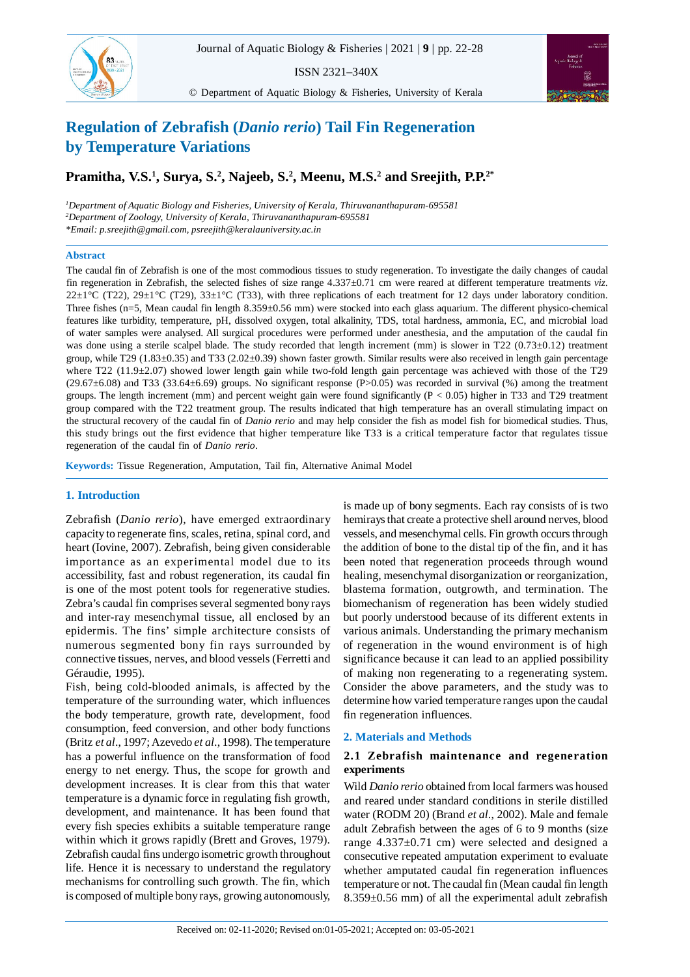ISSN 2321–340X



© Department of Aquatic Biology & Fisheries, University of Kerala



# **Regulation of Zebrafish (***Danio rerio***) Tail Fin Regeneration by Temperature Variations**

## **Pramitha, V.S.<sup>1</sup> , Surya, S.<sup>2</sup> , Najeeb, S.<sup>2</sup> , Meenu, M.S.<sup>2</sup> and Sreejith, P.P.2\***

*<sup>1</sup>Department of Aquatic Biology and Fisheries, University of Kerala, Thiruvananthapuram-695581 <sup>2</sup>Department of Zoology, University of Kerala, Thiruvananthapuram-695581 \*Email: p.sreejith@gmail.com, psreejith@keralauniversity.ac.in*

## **Abstract**

The caudal fin of Zebrafish is one of the most commodious tissues to study regeneration. To investigate the daily changes of caudal fin regeneration in Zebrafish, the selected fishes of size range 4.337±0.71 cm were reared at different temperature treatments *viz*. 22 $\pm$ 1°C (T22), 29 $\pm$ 1°C (T29), 33 $\pm$ 1°C (T33), with three replications of each treatment for 12 days under laboratory condition. Three fishes (n=5, Mean caudal fin length 8.359±0.56 mm) were stocked into each glass aquarium. The different physico-chemical features like turbidity, temperature, pH, dissolved oxygen, total alkalinity, TDS, total hardness, ammonia, EC, and microbial load of water samples were analysed. All surgical procedures were performed under anesthesia, and the amputation of the caudal fin was done using a sterile scalpel blade. The study recorded that length increment (mm) is slower in T22  $(0.73\pm0.12)$  treatment group, while T29 (1.83±0.35) and T33 (2.02±0.39) shown faster growth. Similar results were also received in length gain percentage where T22 (11.9±2.07) showed lower length gain while two-fold length gain percentage was achieved with those of the T29  $(29.67±6.08)$  and T33 (33.64 $±6.69$ ) groups. No significant response (P>0.05) was recorded in survival (%) among the treatment groups. The length increment (mm) and percent weight gain were found significantly  $(P < 0.05)$  higher in T33 and T29 treatment group compared with the T22 treatment group. The results indicated that high temperature has an overall stimulating impact on the structural recovery of the caudal fin of *Danio rerio* and may help consider the fish as model fish for biomedical studies. Thus, this study brings out the first evidence that higher temperature like T33 is a critical temperature factor that regulates tissue regeneration of the caudal fin of *Danio rerio*.

**Keywords:** Tissue Regeneration, Amputation, Tail fin, Alternative Animal Model

## **1. Introduction**

Zebrafish (*Danio rerio*), have emerged extraordinary capacity to regenerate fins, scales, retina, spinal cord, and heart (Iovine, 2007). Zebrafish, being given considerable importance as an experimental model due to its accessibility, fast and robust regeneration, its caudal fin is one of the most potent tools for regenerative studies. Zebra's caudal fin comprises several segmented bony rays and inter-ray mesenchymal tissue, all enclosed by an epidermis. The fins' simple architecture consists of numerous segmented bony fin rays surrounded by connective tissues, nerves, and blood vessels (Ferretti and Géraudie, 1995).

Fish, being cold-blooded animals, is affected by the temperature of the surrounding water, which influences the body temperature, growth rate, development, food consumption, feed conversion, and other body functions (Britz *et al*., 1997; Azevedo *et al*., 1998). The temperature has a powerful influence on the transformation of food energy to net energy. Thus, the scope for growth and development increases. It is clear from this that water temperature is a dynamic force in regulating fish growth, development, and maintenance. It has been found that every fish species exhibits a suitable temperature range within which it grows rapidly (Brett and Groves, 1979). Zebrafish caudal fins undergo isometric growth throughout life. Hence it is necessary to understand the regulatory mechanisms for controlling such growth. The fin, which is composed of multiple bony rays, growing autonomously,

is made up of bony segments. Each ray consists of is two hemirays that create a protective shell around nerves, blood vessels, and mesenchymal cells. Fin growth occurs through the addition of bone to the distal tip of the fin, and it has been noted that regeneration proceeds through wound healing, mesenchymal disorganization or reorganization, blastema formation, outgrowth, and termination. The biomechanism of regeneration has been widely studied but poorly understood because of its different extents in various animals. Understanding the primary mechanism of regeneration in the wound environment is of high significance because it can lead to an applied possibility of making non regenerating to a regenerating system. Consider the above parameters, and the study was to determine how varied temperature ranges upon the caudal fin regeneration influences.

## **2. Materials and Methods**

## **2.1 Zebrafish maintenance and regeneration experiments**

Wild *Danio rerio* obtained from local farmers was housed and reared under standard conditions in sterile distilled water (RODM 20) (Brand *et al*., 2002). Male and female adult Zebrafish between the ages of 6 to 9 months (size range 4.337±0.71 cm) were selected and designed a consecutive repeated amputation experiment to evaluate whether amputated caudal fin regeneration influences temperature or not. The caudal fin (Mean caudal fin length 8.359±0.56 mm) of all the experimental adult zebrafish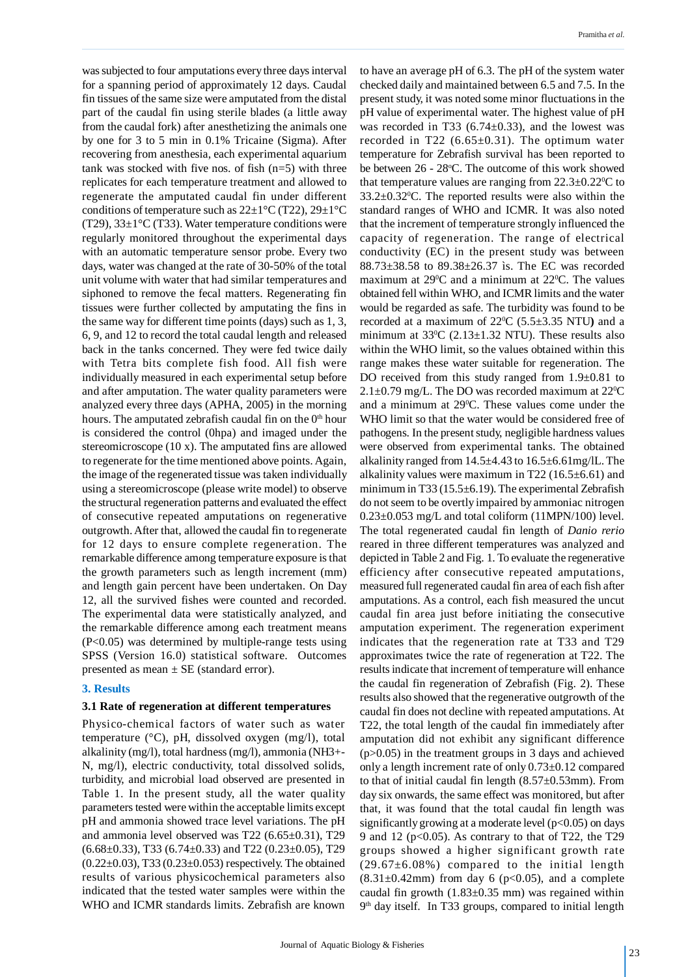was subjected to four amputations every three days interval for a spanning period of approximately 12 days. Caudal fin tissues of the same size were amputated from the distal part of the caudal fin using sterile blades (a little away from the caudal fork) after anesthetizing the animals one by one for 3 to 5 min in 0.1% Tricaine (Sigma). After recovering from anesthesia, each experimental aquarium tank was stocked with five nos. of fish  $(n=5)$  with three replicates for each temperature treatment and allowed to regenerate the amputated caudal fin under different conditions of temperature such as  $22\pm1\degree C$  (T22),  $29\pm1\degree C$ (T29),  $33\pm1\degree$ C (T33). Water temperature conditions were regularly monitored throughout the experimental days with an automatic temperature sensor probe. Every two days, water was changed at the rate of 30-50% of the total unit volume with water that had similar temperatures and siphoned to remove the fecal matters. Regenerating fin tissues were further collected by amputating the fins in the same way for different time points (days) such as 1, 3, 6, 9, and 12 to record the total caudal length and released back in the tanks concerned. They were fed twice daily with Tetra bits complete fish food. All fish were individually measured in each experimental setup before and after amputation. The water quality parameters were analyzed every three days (APHA, 2005) in the morning hours. The amputated zebrafish caudal fin on the  $0<sup>th</sup>$  hour is considered the control (0hpa) and imaged under the stereomicroscope (10 x). The amputated fins are allowed to regenerate for the time mentioned above points. Again, the image of the regenerated tissue was taken individually using a stereomicroscope (please write model) to observe the structural regeneration patterns and evaluated the effect of consecutive repeated amputations on regenerative outgrowth. After that, allowed the caudal fin to regenerate for 12 days to ensure complete regeneration. The remarkable difference among temperature exposure is that the growth parameters such as length increment (mm) and length gain percent have been undertaken. On Day 12, all the survived fishes were counted and recorded. The experimental data were statistically analyzed, and the remarkable difference among each treatment means (P<0.05) was determined by multiple-range tests using SPSS (Version 16.0) statistical software. Outcomes presented as mean  $\pm$  SE (standard error).

## **3. Results**

## **3.1 Rate of regeneration at different temperatures**

Physico-chemical factors of water such as water temperature (°C), pH, dissolved oxygen (mg/l), total alkalinity (mg/l), total hardness (mg/l), ammonia (NH3+- N, mg/l), electric conductivity, total dissolved solids, turbidity, and microbial load observed are presented in Table 1. In the present study, all the water quality parameters tested were within the acceptable limits except pH and ammonia showed trace level variations. The pH and ammonia level observed was T22 (6.65±0.31), T29  $(6.68\pm0.33)$ , T33  $(6.74\pm0.33)$  and T22  $(0.23\pm0.05)$ , T29  $(0.22\pm0.03)$ , T33  $(0.23\pm0.053)$  respectively. The obtained results of various physicochemical parameters also indicated that the tested water samples were within the WHO and ICMR standards limits. Zebrafish are known

to have an average pH of 6.3. The pH of the system water checked daily and maintained between 6.5 and 7.5. In the present study, it was noted some minor fluctuations in the pH value of experimental water. The highest value of pH was recorded in T33  $(6.74 \pm 0.33)$ , and the lowest was recorded in T22  $(6.65\pm0.31)$ . The optimum water temperature for Zebrafish survival has been reported to be between  $26 - 28$ °C. The outcome of this work showed that temperature values are ranging from  $22.3\pm0.22^{\circ}\text{C}$  to  $33.2\pm0.32^{\circ}$ C. The reported results were also within the standard ranges of WHO and ICMR. It was also noted that the increment of temperature strongly influenced the capacity of regeneration. The range of electrical conductivity (EC) in the present study was between 88.73±38.58 to 89.38±26.37 ìs. The EC was recorded maximum at  $29^{\circ}$ C and a minimum at  $22^{\circ}$ C. The values obtained fell within WHO, and ICMR limits and the water would be regarded as safe. The turbidity was found to be recorded at a maximum of  $22^{\circ}C$  (5.5 $\pm$ 3.35 NTU) and a minimum at  $33^{\circ}$ C (2.13±1.32 NTU). These results also within the WHO limit, so the values obtained within this range makes these water suitable for regeneration. The DO received from this study ranged from 1.9 $\pm$ 0.81 to  $2.1\pm0.79$  mg/L. The DO was recorded maximum at  $22^{\circ}$ C and a minimum at 29°C. These values come under the WHO limit so that the water would be considered free of pathogens. In the present study, negligible hardness values were observed from experimental tanks. The obtained alkalinity ranged from  $14.5\pm4.43$  to  $16.5\pm6.61$  mg/lL. The alkalinity values were maximum in T22 (16.5 $\pm$ 6.61) and minimum in T33 (15.5±6.19). The experimental Zebrafish do not seem to be overtly impaired by ammoniac nitrogen  $0.23\pm0.053$  mg/L and total coliform (11MPN/100) level. The total regenerated caudal fin length of *Danio rerio* reared in three different temperatures was analyzed and depicted in Table 2 and Fig. 1. To evaluate the regenerative efficiency after consecutive repeated amputations, measured full regenerated caudal fin area of each fish after amputations. As a control, each fish measured the uncut caudal fin area just before initiating the consecutive amputation experiment. The regeneration experiment indicates that the regeneration rate at T33 and T29 approximates twice the rate of regeneration at T22. The results indicate that increment of temperature will enhance the caudal fin regeneration of Zebrafish (Fig. 2). These results also showed that the regenerative outgrowth of the caudal fin does not decline with repeated amputations. At T22, the total length of the caudal fin immediately after amputation did not exhibit any significant difference (p>0.05) in the treatment groups in 3 days and achieved only a length increment rate of only 0.73±0.12 compared to that of initial caudal fin length (8.57±0.53mm). From day six onwards, the same effect was monitored, but after that, it was found that the total caudal fin length was significantly growing at a moderate level ( $p<0.05$ ) on days 9 and 12 ( $p<0.05$ ). As contrary to that of T22, the T29 groups showed a higher significant growth rate  $(29.67\pm6.08\%)$  compared to the initial length  $(8.31\pm0.42$ mm) from day 6 (p<0.05), and a complete caudal fin growth  $(1.83\pm0.35 \text{ mm})$  was regained within 9 th day itself. In T33 groups, compared to initial length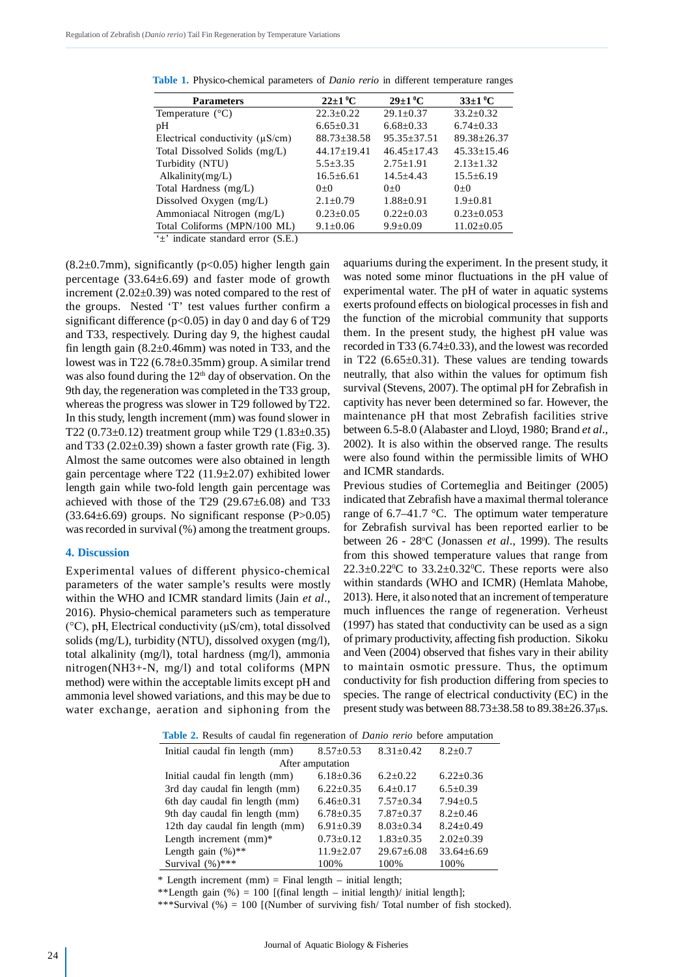| <b>Parameters</b>                    | $22 \pm 1 \,^0C$  | $29 \pm 1 \,^0C$  | $33\pm1\,^0C$     |
|--------------------------------------|-------------------|-------------------|-------------------|
| Temperature $(^{\circ}C)$            | $22.3 \pm 0.22$   | $29.1 \pm 0.37$   | $33.2 \pm 0.32$   |
| pН                                   | $6.65 \pm 0.31$   | $6.68 \pm 0.33$   | $6.74 \pm 0.33$   |
| Electrical conductivity $(\mu S/cm)$ | $88.73 \pm 38.58$ | $95.35 \pm 37.51$ | $89.38 \pm 26.37$ |
| Total Dissolved Solids (mg/L)        | $44.17 \pm 19.41$ | $46.45 \pm 17.43$ | $45.33 \pm 15.46$ |
| Turbidity (NTU)                      | $5.5 \pm 3.35$    | $2.75 \pm 1.91$   | $2.13 \pm 1.32$   |
| Alkalinity $(mg/L)$                  | $16.5 \pm 6.61$   | $14.5 \pm 4.43$   | $15.5 \pm 6.19$   |
| Total Hardness (mg/L)                | $0+0$             | $0+0$             | $0+0$             |
| Dissolved Oxygen (mg/L)              | $2.1 \pm 0.79$    | $1.88 \pm 0.91$   | $1.9+0.81$        |
| Ammoniacal Nitrogen (mg/L)           | $0.23 \pm 0.05$   | $0.22 \pm 0.03$   | $0.23 \pm 0.053$  |
| Total Coliforms (MPN/100 ML)         | $9.1 \pm 0.06$    | $9.9 \pm 0.09$    | $11.02 \pm 0.05$  |
| $\pm$ indicate standard error (S.E.) |                   |                   |                   |

**Table 1.** Physico-chemical parameters of *Danio rerio* in different temperature ranges

 $(8.2\pm0.7$ mm), significantly (p<0.05) higher length gain percentage (33.64±6.69) and faster mode of growth increment  $(2.02\pm0.39)$  was noted compared to the rest of the groups. Nested 'T' test values further confirm a significant difference ( $p<0.05$ ) in day 0 and day 6 of T29 and T33, respectively. During day 9, the highest caudal fin length gain  $(8.2\pm0.46$ mm) was noted in T33, and the lowest was in T22 (6.78±0.35mm) group. A similar trend was also found during the  $12<sup>th</sup>$  day of observation. On the 9th day, the regeneration was completed in the T33 group, whereas the progress was slower in T29 followed by T22. In this study, length increment (mm) was found slower in T22 (0.73 $\pm$ 0.12) treatment group while T29 (1.83 $\pm$ 0.35) and T33 ( $2.02\pm0.39$ ) shown a faster growth rate (Fig. 3). Almost the same outcomes were also obtained in length gain percentage where T22 (11.9±2.07) exhibited lower length gain while two-fold length gain percentage was achieved with those of the T29  $(29.67\pm6.08)$  and T33  $(33.64\pm6.69)$  groups. No significant response  $(P>0.05)$ was recorded in survival (%) among the treatment groups.

## **4. Discussion**

Experimental values of different physico-chemical parameters of the water sample's results were mostly within the WHO and ICMR standard limits (Jain *et al*., 2016). Physio-chemical parameters such as temperature (°C), pH, Electrical conductivity (µS/cm), total dissolved solids (mg/L), turbidity (NTU), dissolved oxygen (mg/l), total alkalinity (mg/l), total hardness (mg/l), ammonia nitrogen(NH3+-N, mg/l) and total coliforms (MPN method) were within the acceptable limits except pH and ammonia level showed variations, and this may be due to water exchange, aeration and siphoning from the aquariums during the experiment. In the present study, it was noted some minor fluctuations in the pH value of experimental water. The pH of water in aquatic systems exerts profound effects on biological processes in fish and the function of the microbial community that supports them. In the present study, the highest pH value was recorded in T33 (6.74±0.33), and the lowest was recorded in T22  $(6.65\pm0.31)$ . These values are tending towards neutrally, that also within the values for optimum fish survival (Stevens, 2007). The optimal pH for Zebrafish in captivity has never been determined so far. However, the maintenance pH that most Zebrafish facilities strive between 6.5-8.0 (Alabaster and Lloyd, 1980; Brand *et al*., 2002). It is also within the observed range. The results were also found within the permissible limits of WHO and ICMR standards.

Previous studies of Cortemeglia and Beitinger (2005) indicated that Zebrafish have a maximal thermal tolerance range of 6.7–41.7 °C. The optimum water temperature for Zebrafish survival has been reported earlier to be between 26 - 28°C (Jonassen *et al.*, 1999). The results from this showed temperature values that range from  $22.3\pm0.22^{\circ}$ C to  $33.2\pm0.32^{\circ}$ C. These reports were also within standards (WHO and ICMR) (Hemlata Mahobe, 2013). Here, it also noted that an increment of temperature much influences the range of regeneration. Verheust (1997) has stated that conductivity can be used as a sign of primary productivity, affecting fish production. Sikoku and Veen (2004) observed that fishes vary in their ability to maintain osmotic pressure. Thus, the optimum conductivity for fish production differing from species to species. The range of electrical conductivity (EC) in the present study was between  $88.73\pm38.58$  to  $89.38\pm26.37\mu s$ .

|  |  |  |  |  | Table 2. Results of caudal fin regeneration of <i>Danio rerio</i> before amputation |  |  |  |  |  |  |
|--|--|--|--|--|-------------------------------------------------------------------------------------|--|--|--|--|--|--|
|--|--|--|--|--|-------------------------------------------------------------------------------------|--|--|--|--|--|--|

| Initial caudal fin length (mm)  | $8.57 \pm 0.53$ | $8.31 \pm 0.42$  | $8.2 \pm 0.7$    |  |  |  |  |
|---------------------------------|-----------------|------------------|------------------|--|--|--|--|
| After amputation                |                 |                  |                  |  |  |  |  |
| Initial caudal fin length (mm)  | $6.18 \pm 0.36$ | $6.2+0.22$       | $6.22 \pm 0.36$  |  |  |  |  |
| 3rd day caudal fin length (mm)  | $6.22+0.35$     | $6.4 + 0.17$     | $6.5 \pm 0.39$   |  |  |  |  |
| 6th day caudal fin length (mm)  | $6.46 \pm 0.31$ | $7.57 \pm 0.34$  | $7.94 + 0.5$     |  |  |  |  |
| 9th day caudal fin length (mm)  | $6.78 \pm 0.35$ | $7.87 + 0.37$    | $8.2 + 0.46$     |  |  |  |  |
| 12th day caudal fin length (mm) | $6.91 \pm 0.39$ | $8.03 \pm 0.34$  | $8.24 \pm 0.49$  |  |  |  |  |
| Length increment (mm)*          | $0.73 \pm 0.12$ | $1.83 \pm 0.35$  | $2.02 \pm 0.39$  |  |  |  |  |
| Length gain $(\%)$ **           | $11.9 \pm 2.07$ | $29.67 \pm 6.08$ | $33.64 \pm 6.69$ |  |  |  |  |
| Survival $(\%)$ ***             | 100%            | 100%             | 100%             |  |  |  |  |

\* Length increment (mm) = Final length – initial length;

\*\*Length gain  $(\%) = 100$  [(final length – initial length)/ initial length];

\*\*\*Survival  $%$  = 100 [(Number of surviving fish/Total number of fish stocked).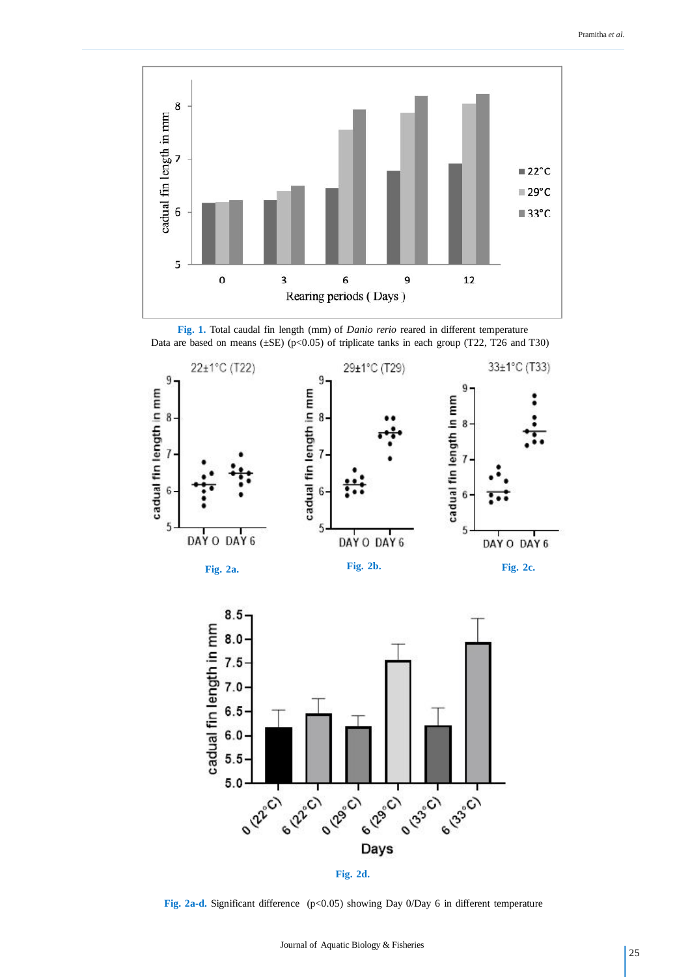

**Fig. 1.** Total caudal fin length (mm) of *Danio rerio* reared in different temperature Data are based on means ( $\pm$ SE) (p<0.05) of triplicate tanks in each group (T22, T26 and T30)











Fig. 2a-d. Significant difference (p<0.05) showing Day 0/Day 6 in different temperature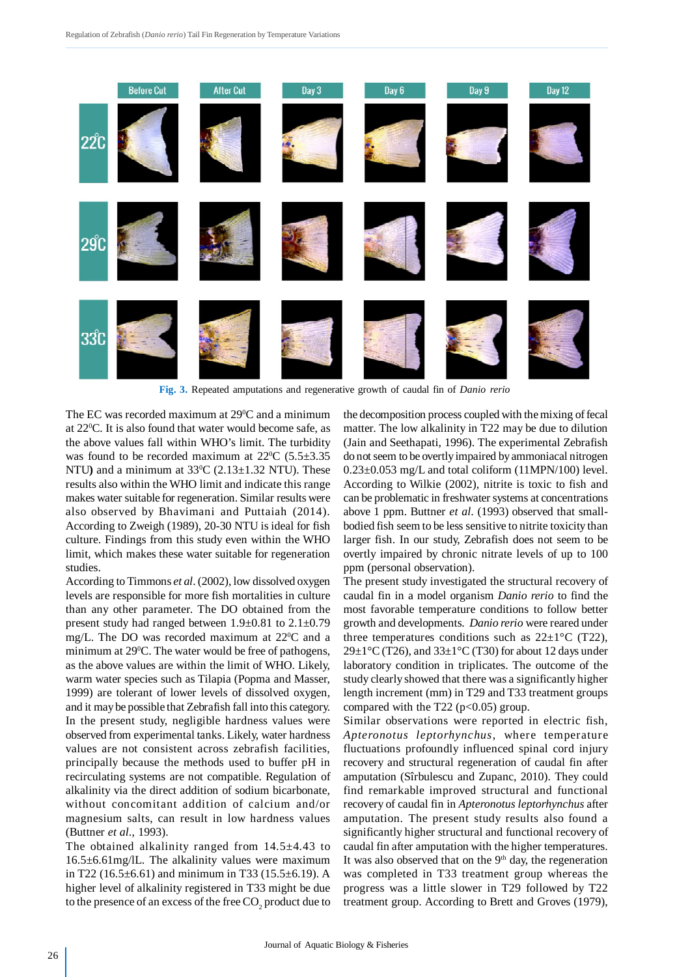

**Fig. 3.** Repeated amputations and regenerative growth of caudal fin of *Danio rerio*

The EC was recorded maximum at  $29^{\circ}$ C and a minimum at 22<sup>0</sup>C. It is also found that water would become safe, as the above values fall within WHO's limit. The turbidity was found to be recorded maximum at  $22^{\circ}$ C (5.5 $\pm$ 3.35 NTU) and a minimum at  $33^{\circ}$ C (2.13 $\pm$ 1.32 NTU). These results also within the WHO limit and indicate this range makes water suitable for regeneration. Similar results were also observed by Bhavimani and Puttaiah (2014). According to Zweigh (1989), 20-30 NTU is ideal for fish culture. Findings from this study even within the WHO limit, which makes these water suitable for regeneration studies.

According to Timmons *et al*. (2002), low dissolved oxygen levels are responsible for more fish mortalities in culture than any other parameter. The DO obtained from the present study had ranged between 1.9±0.81 to 2.1±0.79 mg/L. The DO was recorded maximum at  $22^{\circ}$ C and a minimum at 29<sup>°</sup>C. The water would be free of pathogens, as the above values are within the limit of WHO. Likely, warm water species such as Tilapia (Popma and Masser, 1999) are tolerant of lower levels of dissolved oxygen, and it may be possible that Zebrafish fall into this category. In the present study, negligible hardness values were observed from experimental tanks. Likely, water hardness values are not consistent across zebrafish facilities, principally because the methods used to buffer pH in recirculating systems are not compatible. Regulation of alkalinity via the direct addition of sodium bicarbonate, without concomitant addition of calcium and/or magnesium salts, can result in low hardness values (Buttner *et al*., 1993).

The obtained alkalinity ranged from 14.5±4.43 to 16.5±6.61mg/lL. The alkalinity values were maximum in T22 (16.5±6.61) and minimum in T33 (15.5±6.19). A higher level of alkalinity registered in T33 might be due to the presence of an excess of the free  $\mathrm{CO}_2^{}$  product due to the decomposition process coupled with the mixing of fecal matter. The low alkalinity in T22 may be due to dilution (Jain and Seethapati, 1996). The experimental Zebrafish do not seem to be overtly impaired by ammoniacal nitrogen  $0.23\pm0.053$  mg/L and total coliform (11MPN/100) level. According to Wilkie (2002), nitrite is toxic to fish and can be problematic in freshwater systems at concentrations above 1 ppm. Buttner *et al*. (1993) observed that smallbodied fish seem to be less sensitive to nitrite toxicity than larger fish. In our study, Zebrafish does not seem to be overtly impaired by chronic nitrate levels of up to 100 ppm (personal observation).

The present study investigated the structural recovery of caudal fin in a model organism *Danio rerio* to find the most favorable temperature conditions to follow better growth and developments. *Danio rerio* were reared under three temperatures conditions such as  $22\pm1^{\circ}C$  (T22),  $29\pm1\degree$ C (T26), and  $33\pm1\degree$ C (T30) for about 12 days under laboratory condition in triplicates. The outcome of the study clearly showed that there was a significantly higher length increment (mm) in T29 and T33 treatment groups compared with the T22 ( $p<0.05$ ) group.

Similar observations were reported in electric fish, *Apteronotus leptorhynchus*, where temperature fluctuations profoundly influenced spinal cord injury recovery and structural regeneration of caudal fin after amputation (Sîrbulescu and Zupanc, 2010). They could find remarkable improved structural and functional recovery of caudal fin in *Apteronotus leptorhynchus* after amputation. The present study results also found a significantly higher structural and functional recovery of caudal fin after amputation with the higher temperatures. It was also observed that on the  $9<sup>th</sup>$  day, the regeneration was completed in T33 treatment group whereas the progress was a little slower in T29 followed by T22 treatment group. According to Brett and Groves (1979),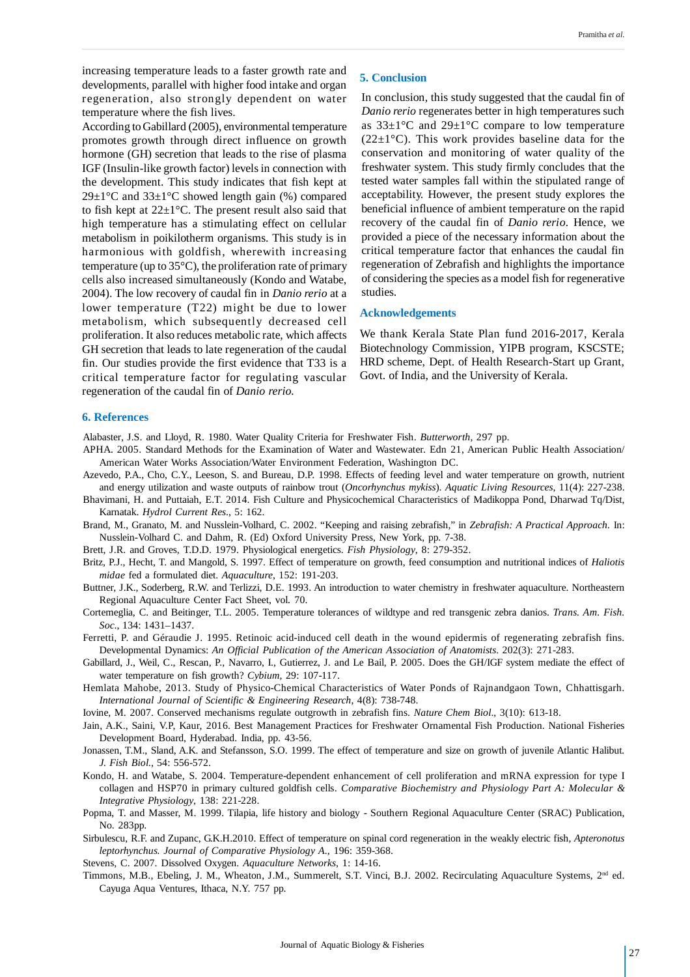increasing temperature leads to a faster growth rate and developments, parallel with higher food intake and organ regeneration, also strongly dependent on water temperature where the fish lives.

According to Gabillard (2005), environmental temperature promotes growth through direct influence on growth hormone (GH) secretion that leads to the rise of plasma IGF (Insulin-like growth factor) levels in connection with the development. This study indicates that fish kept at 29 $\pm$ 1°C and 33 $\pm$ 1°C showed length gain (%) compared to fish kept at 22±1°C. The present result also said that high temperature has a stimulating effect on cellular metabolism in poikilotherm organisms. This study is in harmonious with goldfish, wherewith increasing temperature (up to 35°C), the proliferation rate of primary cells also increased simultaneously (Kondo and Watabe, 2004). The low recovery of caudal fin in *Danio rerio* at a lower temperature (T22) might be due to lower metabolism, which subsequently decreased cell proliferation. It also reduces metabolic rate, which affects GH secretion that leads to late regeneration of the caudal fin. Our studies provide the first evidence that T33 is a critical temperature factor for regulating vascular regeneration of the caudal fin of *Danio rerio.*

#### **5. Conclusion**

In conclusion, this study suggested that the caudal fin of *Danio rerio* regenerates better in high temperatures such as  $33\pm1\,^{\circ}\text{C}$  and  $29\pm1\,^{\circ}\text{C}$  compare to low temperature  $(22\pm1\,^{\circ}\mathrm{C})$ . This work provides baseline data for the conservation and monitoring of water quality of the freshwater system. This study firmly concludes that the tested water samples fall within the stipulated range of acceptability. However, the present study explores the beneficial influence of ambient temperature on the rapid recovery of the caudal fin of *Danio rerio*. Hence, we provided a piece of the necessary information about the critical temperature factor that enhances the caudal fin regeneration of Zebrafish and highlights the importance of considering the species as a model fish for regenerative studies.

#### **Acknowledgements**

We thank Kerala State Plan fund 2016-2017, Kerala Biotechnology Commission, YIPB program, KSCSTE; HRD scheme, Dept. of Health Research-Start up Grant, Govt. of India, and the University of Kerala.

#### **6. References**

Alabaster, J.S. and Lloyd, R. 1980. Water Quality Criteria for Freshwater Fish. *Butterworth*, 297 pp.

- APHA. 2005. Standard Methods for the Examination of Water and Wastewater. Edn 21, American Public Health Association/ American Water Works Association/Water Environment Federation, Washington DC.
- Azevedo, P.A., Cho, C.Y., Leeson, S. and Bureau, D.P. 1998. Effects of feeding level and water temperature on growth, nutrient
- and energy utilization and waste outputs of rainbow trout (*Oncorhynchus mykiss*). *Aquatic Living Resources*, 11(4): 227-238. Bhavimani, H. and Puttaiah, E.T. 2014. Fish Culture and Physicochemical Characteristics of Madikoppa Pond, Dharwad Tq/Dist, Karnatak. *Hydrol Current Res*., 5: 162.
- Brand, M., Granato, M. and Nusslein-Volhard, C. 2002. "Keeping and raising zebrafish," in *Zebrafish: A Practical Approach.* In: Nusslein-Volhard C. and Dahm, R. (Ed) Oxford University Press, New York, pp. 7-38.
- Brett, J.R. and Groves, T.D.D. 1979. Physiological energetics. *Fish Physiology*, 8: 279-352.
- Britz, P.J., Hecht, T. and Mangold, S. 1997. Effect of temperature on growth, feed consumption and nutritional indices of *Haliotis midae* fed a formulated diet. *Aquaculture*, 152: 191-203.
- Buttner, J.K., Soderberg, R.W. and Terlizzi, D.E. 1993. An introduction to water chemistry in freshwater aquaculture. Northeastern Regional Aquaculture Center Fact Sheet, vol. 70.
- Cortemeglia, C. and Beitinger, T.L. 2005. Temperature tolerances of wildtype and red transgenic zebra danios. *Trans. Am. Fish. Soc*., 134: 1431–1437.
- Ferretti, P. and Géraudie J. 1995. Retinoic acid-induced cell death in the wound epidermis of regenerating zebrafish fins. Developmental Dynamics: *An Official Publication of the American Association of Anatomists*. 202(3): 271-283.
- Gabillard, J., Weil, C., Rescan, P., Navarro, I., Gutierrez, J. and Le Bail, P. 2005. Does the GH/IGF system mediate the effect of water temperature on fish growth? *Cybium*, 29: 107-117.
- Hemlata Mahobe, 2013. Study of Physico-Chemical Characteristics of Water Ponds of Rajnandgaon Town, Chhattisgarh. *International Journal of Scientific & Engineering Research*, 4(8): 738-748.
- Iovine, M. 2007. Conserved mechanisms regulate outgrowth in zebrafish fins. *Nature Chem Biol*., 3(10): 613-18.
- Jain, A.K., Saini, V.P, Kaur, 2016. Best Management Practices for Freshwater Ornamental Fish Production. National Fisheries Development Board, Hyderabad. India, pp. 43-56.
- Jonassen, T.M., Sland, A.K. and Stefansson, S.O. 1999. The effect of temperature and size on growth of juvenile Atlantic Halibut*. J. Fish Biol.,* 54: 556-572.
- Kondo, H. and Watabe, S. 2004. Temperature-dependent enhancement of cell proliferation and mRNA expression for type I collagen and HSP70 in primary cultured goldfish cells. *Comparative Biochemistry and Physiology Part A: Molecular & Integrative Physiology*, 138: 221-228.
- Popma, T. and Masser, M. 1999. Tilapia, life history and biology Southern Regional Aquaculture Center (SRAC) Publication, No. 283pp.
- Sirbulescu, R.F. and Zupanc, G.K.H.2010. Effect of temperature on spinal cord regeneration in the weakly electric fish, *Apteronotus leptorhynchus. Journal of Comparative Physiology A*., 196: 359-368.
- Stevens, C. 2007. Dissolved Oxygen. *Aquaculture Networks*, 1: 14-16.
- Timmons, M.B., Ebeling, J. M., Wheaton, J.M., Summerelt, S.T. Vinci, B.J. 2002. Recirculating Aquaculture Systems, 2nd ed. Cayuga Aqua Ventures, Ithaca, N.Y. 757 pp.